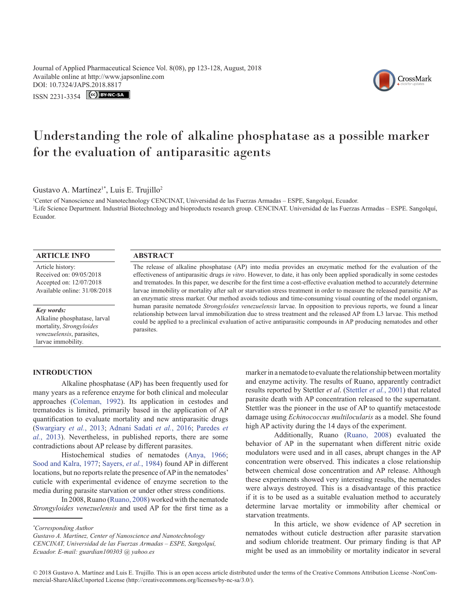Journal of Applied Pharmaceutical Science Vol. 8(08), pp 123-128, August, 2018 Available online at http://www.japsonline.com DOI: 10.7324/JA[PS.2018.8817](https://creativecommons.org/licenses/by-nc-sa/3.0/)

ISSN 2231-3354 CC BY-NC-SA

# Understanding the role of alkaline phosphatase as a possible marker for the evaluation of antiparasitic agents

Gustavo A. Martínez<sup>1\*</sup>, Luis E. Trujillo<sup>2</sup>

1 Center of Nanoscience and Nanotechnology CENCINAT, Universidad de las Fuerzas Armadas – ESPE, Sangolquí, Ecuador. 2 Life Science Department. Industrial Biotechnology and bioproducts research group. CENCINAT. Universidad de las Fuerzas Armadas – ESPE. Sangolquí, Ecuador.

## **ARTICLE INFO ABSTRACT**

Article history: Received on: 09/05/2018 Accepted on: 12/07/2018 Available online: 31/08/2018

*Key words:* Alkaline phosphatase, larval mortality, *Strongyloides venezuelensis*, parasites, larvae immobility.

## **INTRODUCTION**

Alkaline phosphatase (AP) has been frequently used for many years as a reference enzyme for both clinical and molecular approaches (Coleman, 1992). Its application in cestodes and trematodes is limited, primarily based in the application of AP quantification to evaluate mortality and new antiparasitic drugs (Swargiary *et al.*, 2013; [Adnani Sadati](#page-5-0) *et al.*, 2016; Paredes *et al.*, 2013). Nevertheless, in published reports, there are some contradictions about AP release by different parasites.

Histochemical studies of nematodes (Anya, 1966; Sood and Kalra, 1977; Sayers, *et al.*, 1984) found AP in different locations, but no reports relate the presence of AP in the nematodes' cuticle with experimental evidence of enzyme secretion to the media during parasite starvation or under other stress conditions.

In 2008, Ruano (Ruano, 2008) worked with the nematode *Strongyloides venezuelensis* and used AP for the first time as a

*\* Corresponding Author*

*Gustavo A. Martínez, Center of Nanoscience and Nanotechnology CENCINAT, Universidad de las Fuerzas Armadas – ESPE, Sangolquí, Ecuador. E-mail: guardian100303 @ yahoo.es*

The release of alkaline phosphatase (AP) into media provides an enzymatic method for the evaluation of the effectiveness of antiparasitic drugs *in vitro*. However, to date, it has only been applied sporadically in some cestodes and trematodes. In this paper, we describe for the first time a cost-effective evaluation method to accurately determine larvae immobility or mortality after salt or starvation stress treatment in order to measure the released parasitic AP as an enzymatic stress marker. Our method avoids tedious and time-consuming visual counting of the model organism, human parasite nematode *Strongyloides venezuelensis* larvae. In opposition to previous reports, we found a linear relationship between larval immobilization due to stress treatment and the released AP from L3 larvae. This method could be applied to a preclinical evaluation of active antiparasitic compounds in AP producing nematodes and other parasites.

> marker in a nematode to evaluate the relationship between mortality and enzyme activity. The results of Ruano, apparently contradict results reported by Stettler *et al*. ([Stettler](#page-5-1) *et al.*, 2001) that related parasite death with AP concentration released to the supernatant. Stettler was the pioneer in the use of AP to quantify metacestode damage using *Echinococcus multilocularis* as a model. She found high AP activity during the 14 days of the experiment.

> Additionally, Ruano (Ruano, 2008) evaluated the behavior of AP in the supernatant when different nitric oxide modulators were used and in all cases, abrupt changes in the AP concentration were observed. This indicates a close relationship between chemical dose concentration and AP release. Although these experiments showed very interesting results, the nematodes were always destroyed. This is a disadvantage of this practice if it is to be used as a suitable evaluation method to accurately determine larvae mortality or immobility after chemical or starvation treatments.

> In this article, we show evidence of AP secretion in nematodes without cuticle destruction after parasite starvation and sodium chloride treatment. Our primary finding is that AP might be used as an immobility or mortality indicator in several

© 2018 Gustavo A. Martínez and Luis E. Trujillo*.* This is an open access article distributed under the terms of the Creative Commons Attribution License -NonCommercial-ShareAlikeUnported License (http://creativecommons.org/licenses/by-nc-sa/3.0/).

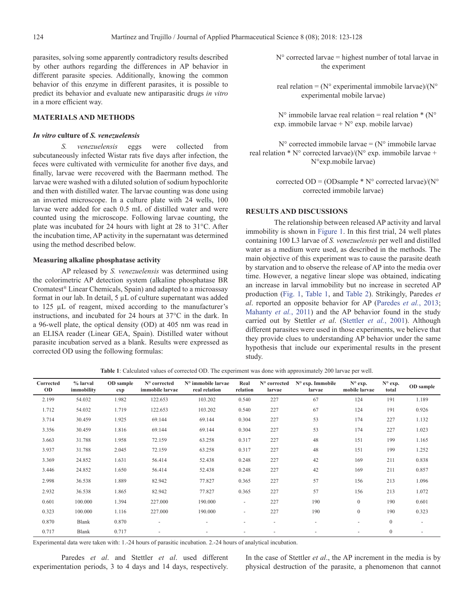parasites, solving some apparently contradictory results described by other authors regarding the differences in AP behavior in different parasite species. Additionally, knowing the common behavior of this enzyme in different parasites, it is possible to predict its behavior and evaluate new antiparasitic drugs *in vitro* in a more efficient way.

# **MATERIALS AND METHODS**

#### *In vitro* **culture of** *S. venezuelensis*

*S. venezuelensis* eggs were collected from subcutaneously infected Wistar rats five days after infection, the feces were cultivated with vermiculite for another five days, and finally, larvae were recovered with the Baermann method. The larvae were washed with a diluted solution of sodium hypochlorite and then with distilled water. The larvae counting was done using an inverted microscope. In a culture plate with 24 wells, 100 larvae were added for each 0.5 mL of distilled water and were counted using the microscope. Following larvae counting, the plate was incubated for 24 hours with light at 28 to 31°C. After the incubation time, AP activity in the supernatant was determined using the method described below.

#### **Measuring alkaline phosphatase activity**

AP released by *S. venezuelensis* was determined using the colorimetric AP detection system (alkaline phosphatase BR Cromatest® Linear Chemicals, Spain) and adapted to a microassay format in our lab. In detail, 5 µL of culture supernatant was added to 125 µL of reagent, mixed according to the manufacturer's instructions, and incubated for 24 hours at 37°C in the dark. In a 96-well plate, the optical density (OD) at 405 nm was read in an ELISA reader (Linear GEA, Spain). Distilled water without parasite incubation served as a blank. Results were expressed as corrected OD using the following formulas:

 $N<sup>o</sup>$  corrected larvae = highest number of total larvae in the experiment

real relation =  $(N^{\circ}$  experimental immobile larvae)/ $(N^{\circ})$ experimental mobile larvae)

 $N^{\circ}$  immobile larvae real relation = real relation \* (N° exp. immobile larvae +  $N^{\circ}$  exp. mobile larvae)

 $N^{\circ}$  corrected immobile larvae = ( $N^{\circ}$  immobile larvae real relation  $* N^{\circ}$  corrected larvae)/(N° exp. immobile larvae + N°exp.mobile larvae)

> corrected OD = (ODsample  $*$  N° corrected larvae)/(N° corrected immobile larvae)

## **RESULTS AND DISCUSSIONS**

The relationship between released AP activity and larval immobility is shown in [Figure 1](#page-2-0). In this first trial, 24 well plates containing 100 L3 larvae of *S. venezuelensis* per well and distilled water as a medium were used, as described in the methods. The main objective of this experiment was to cause the parasite death by starvation and to observe the release of AP into the media over time. However, a negative linear slope was obtained, indicating an increase in larval immobility but no increase in secreted AP production ([Fig. 1](#page-2-0), [Table 1](#page-1-0), and [Table 2\)](#page-2-1). Strikingly, Paredes *et al*. reported an opposite behavior for AP (Paredes *et al.*, 2013; [Mahanty](#page-5-2) *et al.*, 2011) and the AP behavior found in the study carried out by Stettler *et al*. ([Stettler](#page-5-1) *et al.*, 2001). Although different parasites were used in those experiments, we believe that they provide clues to understanding AP behavior under the same hypothesis that include our experimental results in the present study.

| Corrected<br><b>OD</b> | % larval<br>immobility | OD sample<br>exp | N° corrected<br>immobile larvae | N° immobile larvae<br>real relation | Real<br>relation | N° corrected<br>larvae   | N° exp. Immobile<br>larvae | $N^{\circ}$ exp.<br>mobile larvae | $N^{\circ}$ exp.<br>total | OD sample |
|------------------------|------------------------|------------------|---------------------------------|-------------------------------------|------------------|--------------------------|----------------------------|-----------------------------------|---------------------------|-----------|
| 2.199                  | 54.032                 | 1.982            | 122.653                         | 103.202                             | 0.540            | 227                      | 67                         | 124                               | 191                       | 1.189     |
| 1.712                  | 54.032                 | 1.719            | 122.653                         | 103.202                             | 0.540            | 227                      | 67                         | 124                               | 191                       | 0.926     |
| 3.714                  | 30.459                 | 1.925            | 69.144                          | 69.144                              | 0.304            | 227                      | 53                         | 174                               | 227                       | 1.132     |
| 3.356                  | 30.459                 | 1.816            | 69.144                          | 69.144                              | 0.304            | 227                      | 53                         | 174                               | 227                       | 1.023     |
| 3.663                  | 31.788                 | 1.958            | 72.159                          | 63.258                              | 0.317            | 227                      | 48                         | 151                               | 199                       | 1.165     |
| 3.937                  | 31.788                 | 2.045            | 72.159                          | 63.258                              | 0.317            | 227                      | 48                         | 151                               | 199                       | 1.252     |
| 3.369                  | 24.852                 | 1.631            | 56.414                          | 52.438                              | 0.248            | 227                      | 42                         | 169                               | 211                       | 0.838     |
| 3.446                  | 24.852                 | 1.650            | 56.414                          | 52.438                              | 0.248            | 227                      | 42                         | 169                               | 211                       | 0.857     |
| 2.998                  | 36.538                 | 1.889            | 82.942                          | 77.827                              | 0.365            | 227                      | 57                         | 156                               | 213                       | 1.096     |
| 2.932                  | 36.538                 | 1.865            | 82.942                          | 77.827                              | 0.365            | 227                      | 57                         | 156                               | 213                       | 1.072     |
| 0.601                  | 100.000                | 1.394            | 227.000                         | 190.000                             | ٠                | 227                      | 190                        | $\mathbf{0}$                      | 190                       | 0.601     |
| 0.323                  | 100.000                | 1.116            | 227.000                         | 190.000                             | ۰                | 227                      | 190                        | $\boldsymbol{0}$                  | 190                       | 0.323     |
| 0.870                  | <b>Blank</b>           | 0.870            | $\overline{\phantom{a}}$        | $\overline{\phantom{a}}$            | ۰                | $\sim$                   | $\overline{\phantom{a}}$   | ۰                                 | $\boldsymbol{0}$          |           |
| 0.717                  | <b>Blank</b>           | 0.717            |                                 |                                     | ٠                | $\overline{\phantom{a}}$ |                            |                                   | $\overline{0}$            |           |

<span id="page-1-0"></span>**Table 1**: Calculated values of corrected OD. The experiment was done with approximately 200 larvae per well.

Experimental data were taken with: 1.-24 hours of parasitic incubation. 2.-24 hours of analytical incubation.

Paredes *et al*. and Stettler *et al*. used different experimentation periods, 3 to 4 days and 14 days, respectively.

In the case of Stettler *et al*., the AP increment in the media is by physical destruction of the parasite, a phenomenon that cannot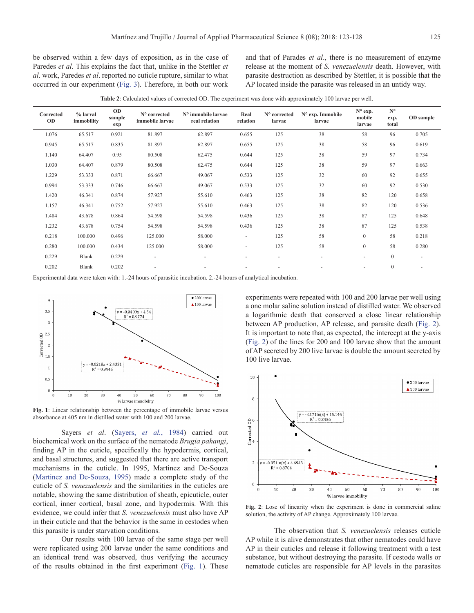be observed within a few days of exposition, as in the case of Paredes *et al*. This explains the fact that, unlike in the Stettler *et al*. work, Paredes *et al*. reported no cuticle rupture, similar to what occurred in our experiment [\(Fig. 3](#page-3-0)). Therefore, in both our work

and that of Parades *et al*., there is no measurement of enzyme release at the moment of *S. venezuelensis* death. However, with parasite destruction as described by Stettler, it is possible that the AP located inside the parasite was released in an untidy way.

<span id="page-2-1"></span>

| Corrected<br><b>OD</b> | % larval<br>immobility | <b>OD</b><br>sample<br>exp | N° corrected<br>immobile larvae | N° immobile larvae<br>real relation | Real<br>relation | N° corrected<br>larvae   | $N^{\circ}$ exp. Immobile<br>larvae | N° exp.<br>mobile<br>larvae | $N^{\circ}$<br>exp.<br>total | OD sample |
|------------------------|------------------------|----------------------------|---------------------------------|-------------------------------------|------------------|--------------------------|-------------------------------------|-----------------------------|------------------------------|-----------|
| 1.076                  | 65.517                 | 0.921                      | 81.897                          | 62.897                              | 0.655            | 125                      | 38                                  | 58                          | 96                           | 0.705     |
| 0.945                  | 65.517                 | 0.835                      | 81.897                          | 62.897                              | 0.655            | 125                      | 38                                  | 58                          | 96                           | 0.619     |
| 1.140                  | 64.407                 | 0.95                       | 80.508                          | 62.475                              | 0.644            | 125                      | 38                                  | 59                          | 97                           | 0.734     |
| 1.030                  | 64.407                 | 0.879                      | 80.508                          | 62.475                              | 0.644            | 125                      | 38                                  | 59                          | 97                           | 0.663     |
| 1.229                  | 53.333                 | 0.871                      | 66.667                          | 49.067                              | 0.533            | 125                      | 32                                  | 60                          | 92                           | 0.655     |
| 0.994                  | 53.333                 | 0.746                      | 66.667                          | 49.067                              | 0.533            | 125                      | 32                                  | 60                          | 92                           | 0.530     |
| 1.420                  | 46.341                 | 0.874                      | 57.927                          | 55.610                              | 0.463            | 125                      | 38                                  | 82                          | 120                          | 0.658     |
| 1.157                  | 46.341                 | 0.752                      | 57.927                          | 55.610                              | 0.463            | 125                      | 38                                  | 82                          | 120                          | 0.536     |
| 1.484                  | 43.678                 | 0.864                      | 54.598                          | 54.598                              | 0.436            | 125                      | 38                                  | 87                          | 125                          | 0.648     |
| 1.232                  | 43.678                 | 0.754                      | 54.598                          | 54.598                              | 0.436            | 125                      | 38                                  | 87                          | 125                          | 0.538     |
| 0.218                  | 100.000                | 0.496                      | 125.000                         | 58.000                              | ٠                | 125                      | 58                                  | $\overline{0}$              | 58                           | 0.218     |
| 0.280                  | 100.000                | 0.434                      | 125.000                         | 58.000                              | ٠                | 125                      | 58                                  | $\mathbf{0}$                | 58                           | 0.280     |
| 0.229                  | Blank                  | 0.229                      | $\sim$                          | ٠                                   |                  | ٠                        | $\sim$                              | $\sim$                      | $\boldsymbol{0}$             |           |
| 0.202                  | Blank                  | 0.202                      | ٠                               |                                     |                  | $\overline{\phantom{a}}$ |                                     | ۰                           | $\boldsymbol{0}$             | ٠         |

Experimental data were taken with: 1.-24 hours of parasitic incubation. 2.-24 hours of analytical incubation.



<span id="page-2-0"></span>**Fig. 1**: Linear relationship between the percentage of immobile larvae versus absorbance at 405 nm in distilled water with 100 and 200 larvae.

Sayers *et al*. (Sayers, *et al.*, 1984) carried out biochemical work on the surface of the nematode *Brugia pahangi*, finding AP in the cuticle, specifically the hypodermis, cortical, and basal structures, and suggested that there are active transport mechanisms in the cuticle. In 1995, Martinez and De-Souza (Martinez and De-Souza, 1995) made a complete study of the cuticle of *S. venezuelensis* and the similarities in the cuticles are notable, showing the same distribution of sheath, epicuticle, outer cortical, inner cortical, basal zone, and hypodermis. With this evidence, we could infer that *S. venezuelensis* must also have AP in their cuticle and that the behavior is the same in cestodes when this parasite is under starvation conditions.

Our results with 100 larvae of the same stage per well were replicated using 200 larvae under the same conditions and an identical trend was observed, thus verifying the accuracy of the results obtained in the first experiment ([Fig. 1\)](#page-2-0). These

experiments were repeated with 100 and 200 larvae per well using a one molar saline solution instead of distilled water. We observed a logarithmic death that conserved a close linear relationship between AP production, AP release, and parasite death [\(Fig. 2\)](#page-2-2). It is important to note that, as expected, the intercept at the y-axis ([Fig. 2](#page-2-2)) of the lines for 200 and 100 larvae show that the amount of AP secreted by 200 live larvae is double the amount secreted by 100 live larvae.



<span id="page-2-2"></span>**Fig. 2**: Lose of linearity when the experiment is done in commercial saline solution, the activity of AP change. Approximately 100 larvae.

The observation that *S. venezuelensis* releases cuticle AP while it is alive demonstrates that other nematodes could have AP in their cuticles and release it following treatment with a test substance, but without destroying the parasite. If cestode walls or nematode cuticles are responsible for AP levels in the parasites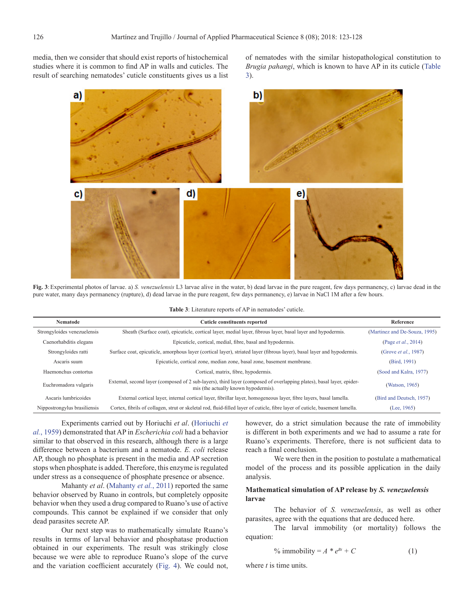media, then we consider that should exist reports of histochemical studies where it is common to find AP in walls and cuticles. The result of searching nematodes' cuticle constituents gives us a list of nematodes with the similar histopathological constitution to *Brugia pahangi*, which is known to have AP in its cuticle [\(Table](#page-3-1) [3](#page-3-1)).



**Fig. 3**:Experimental photos of larvae. a) *S. venezuelensis* L3 larvae alive in the water, b) dead larvae in the pure reagent, few days permanency, c) larvae dead in the pure water, many days permanency (rupture), d) dead larvae in the pure reagent, few days permanency, e) larvae in NaCl 1M after a few hours.

| <b>Table 3:</b> Literature reports of AP in nematodes' cuticle. |  |  |
|-----------------------------------------------------------------|--|--|
|-----------------------------------------------------------------|--|--|

<span id="page-3-0"></span>

| <b>Nematode</b>              | <b>Cuticle constituents reported</b>                                                                                                                          | Reference                     |  |
|------------------------------|---------------------------------------------------------------------------------------------------------------------------------------------------------------|-------------------------------|--|
| Strongyloides venezuelensis  | Sheath (Surface coat), epicuticle, cortical layer, medial layer, fibrous layer, basal layer and hypodermis.                                                   | (Martinez and De-Souza, 1995) |  |
| Caenorhabditis elegans       | Epicuticle, cortical, medial, fibre, basal and hypodermis.                                                                                                    | (Page <i>et al.</i> , 2014)   |  |
| Strongyloides ratti          | Surface coat, epicuticle, amorphous layer (cortical layer), striated layer (fibrous layer), basal layer and hypodermis.                                       | (Grove <i>et al.</i> , 1987)  |  |
| Ascaris suum                 | Epicuticle, cortical zone, median zone, basal zone, basement membrane.                                                                                        | (Bird, 1991)                  |  |
| Haemonchus contortus         | Cortical, matrix, fibre, hypodermis.                                                                                                                          | (Sood and Kalra, 1977)        |  |
| Euchromadora vulgaris        | External, second layer (composed of 2 sub-layers), third layer (composed of overlapping plates), basal layer, epider-<br>mis (the actually known hypodermis). | (Watson, 1965)                |  |
| Ascaris lumbricoides         | External cortical layer, internal cortical layer, fibrillar layer, homogeneous layer, fibre layers, basal lamella.                                            | (Bird and Deutsch, 1957)      |  |
| Nippostrongylus brasiliensis | Cortex, fibrils of collagen, strut or skeletal rod, fluid-filled layer of cuticle, fibre layer of cuticle, basement lamella.                                  | (Lee, 1965)                   |  |

Experiments carried out by Horiuchi *et al*. (Horiuchi *et al.*, 1959) demonstrated that AP in *Escherichia coli* had a behavior similar to that observed in this research, although there is a large difference between a bacterium and a nematode. *E. coli* release AP, though no phosphate is present in the media and AP secretion stops when phosphate is added. Therefore, this enzyme is regulated under stress as a consequence of phosphate presence or absence.

Mahanty *et al*. ([Mahanty](#page-5-2) *et al.*, 2011) reported the same behavior observed by Ruano in controls, but completely opposite behavior when they used a drug compared to Ruano's use of active compounds. This cannot be explained if we consider that only dead parasites secrete AP.

Our next step was to mathematically simulate Ruano's results in terms of larval behavior and phosphatase production obtained in our experiments. The result was strikingly close because we were able to reproduce Ruano's slope of the curve and the variation coefficient accurately ([Fig. 4\)](#page-4-0). We could not,

<span id="page-3-1"></span>however, do a strict simulation because the rate of immobility is different in both experiments and we had to assume a rate for Ruano's experiments. Therefore, there is not sufficient data to reach a final conclusion.

We were then in the position to postulate a mathematical model of the process and its possible application in the daily analysis.

## **Mathematical simulation of AP release by** *S. venezuelensis* **larvae**

The behavior of *S. venezuelensis*, as well as other parasites, agree with the equations that are deduced here.

The larval immobility (or mortality) follows the equation:

% immobility = 
$$
A * e^{Bt} + C
$$
 (1)

where *t* is time units.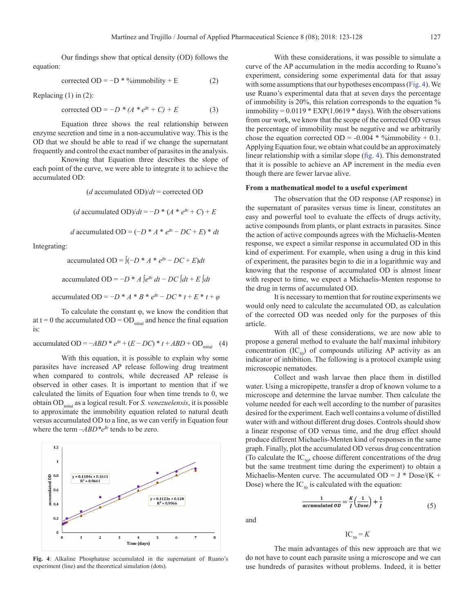Our findings show that optical density (OD) follows the equation:

corrected OD = 
$$
-D * %
$$
immobility + E (2)

Replacing (1) in (2):

corrected OD =  $-D * (A * e^{Bt} + C) + E$  (3)

Equation three shows the real relationship between enzyme secretion and time in a non-accumulative way. This is the OD that we should be able to read if we change the supernatant frequently and control the exact number of parasites in the analysis.

Knowing that Equation three describes the slope of each point of the curve, we were able to integrate it to achieve the accumulated OD:

(*d* accumulated OD)/*dt* = corrected OD

(*d* accumulated OD)/ $dt = -D * (A * e^{Bt} + C) + E$ 

*d* accumulated OD =  $(-D * A * e^{Bt} - DC + E) * dt$ 

Integrating:

accumulated OD =  $\int (-D^* A^* e^{Bt} - DC + E) dt$ accumulated OD = −*D* \* *A*  $\int e^{Bt} dt$  − *DC*  $\int dt$  + *E*  $\int dt$ accumulated OD =  $-D * A * B * e^{Bt} - DC * t + E * t + \omega$ 

To calculate the constant φ, we know the condition that at t = 0 the accumulated  $OD = OD$ <sub>initial</sub> and hence the final equation is:

accumulated OD =  $-ABD * e^{Bt} + (E - DC) * t + ABD + OD$ <sub>initial</sub> (4)

With this equation, it is possible to explain why some parasites have increased AP release following drug treatment when compared to controls, while decreased AP release is observed in other cases. It is important to mention that if we calculated the limits of Equation four when time trends to 0, we obtain ODinitial as a logical result. For *S. venezuelensis*, it is possible to approximate the immobility equation related to natural death versus accumulated OD to a line, as we can verify in Equation four where the term  $-ABD^*e^{Bt}$  tends to be zero.



<span id="page-4-0"></span>**Fig. 4**: Alkaline Phosphatase accumulated in the supernatant of Ruano's experiment (line) and the theoretical simulation (dots).

With these considerations, it was possible to simulate a curve of the AP accumulation in the media according to Ruano's experiment, considering some experimental data for that assay with some assumptions that our hypotheses encompass [\(Fig. 4\)](#page-4-0). We use Ruano's experimental data that at seven days the percentage of immobility is 20%, this relation corresponds to the equation % immobility =  $0.0119 * EXP(1.0619 * days)$ . With the observations from our work, we know that the scope of the corrected OD versus the percentage of immobility must be negative and we arbitrarily chose the equation corrected OD =  $-0.004 * %<sub>ij</sub>$  mmobility + 0.1. Applying Equation four, we obtain what could be an approximately linear relationship with a similar slope ([fig. 4](#page-4-0)). This demonstrated that it is possible to achieve an AP increment in the media even though there are fewer larvae alive.

#### **From a mathematical model to a useful experiment**

The observation that the OD response (AP response) in the supernatant of parasites versus time is linear, constitutes an easy and powerful tool to evaluate the effects of drugs activity, active compounds from plants, or plant extracts in parasites. Since the action of active compounds agrees with the Michaelis-Menten response, we expect a similar response in accumulated OD in this kind of experiment. For example, when using a drug in this kind of experiment, the parasites begin to die in a logarithmic way and knowing that the response of accumulated OD is almost linear with respect to time, we expect a Michaelis-Menten response to the drug in terms of accumulated OD.

It is necessary to mention that for routine experiments we would only need to calculate the accumulated OD, as calculation of the corrected OD was needed only for the purposes of this article.

With all of these considerations, we are now able to propose a general method to evaluate the half maximal inhibitory concentration  $(IC_{50})$  of compounds utilizing AP activity as an indicator of inhibition. The following is a protocol example using microscopic nematodes.

Collect and wash larvae then place them in distilled water. Using a micropipette, transfer a drop of known volume to a microscope and determine the larvae number. Then calculate the volume needed for each well according to the number of parasites desired for the experiment. Each well contains a volume of distilled water with and without different drug doses. Controls should show a linear response of OD versus time, and the drug effect should produce different Michaelis-Menten kind of responses in the same graph. Finally, plot the accumulated OD versus drug concentration (To calculate the  $IC_{50}$ , choose different concentrations of the drug but the same treatment time during the experiment) to obtain a Michaelis-Menten curve. The accumulated  $OD = J * Does/(K +$ Dose) where the  $IC_{50}$  is calculated with the equation:

> $\frac{1}{accumulated\; 0} = \frac{K}{I} \left( \frac{1}{Dose} \right) + \frac{1}{I}$ (5)

and

 $IC_{50} = K$ 

The main advantages of this new approach are that we do not have to count each parasite using a microscope and we can use hundreds of parasites without problems. Indeed, it is better